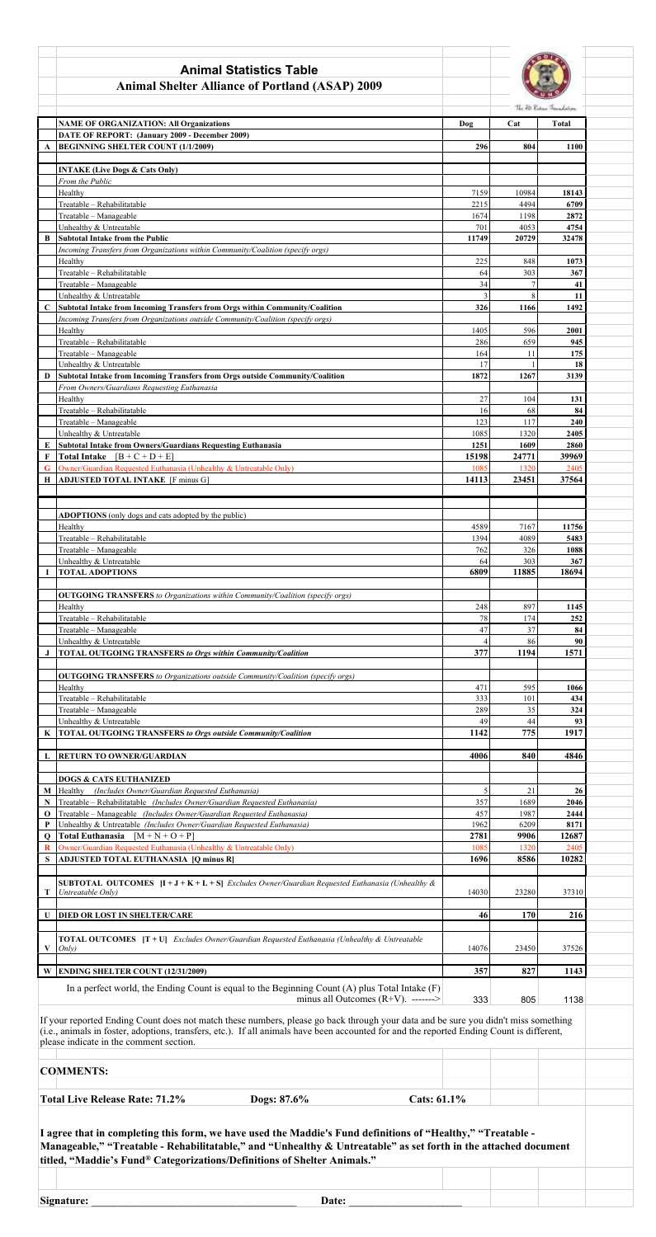|                             | <b>Animal Statistics Table</b>                                                                                            |                |                |                           |
|-----------------------------|---------------------------------------------------------------------------------------------------------------------------|----------------|----------------|---------------------------|
|                             | <b>Animal Shelter Alliance of Portland (ASAP) 2009</b>                                                                    |                |                |                           |
|                             |                                                                                                                           |                |                |                           |
|                             |                                                                                                                           |                |                | The Fit Robert Frankelson |
|                             | <b>NAME OF ORGANIZATION: All Organizations</b>                                                                            | Dog            | Cat            | <b>Total</b>              |
|                             | DATE OF REPORT: (January 2009 - December 2009)<br><b>BEGINNING SHELTER COUNT (1/1/2009)</b>                               | 296            | 804            | 1100                      |
| $\mathbf{A}$                |                                                                                                                           |                |                |                           |
|                             | <b>INTAKE (Live Dogs &amp; Cats Only)</b>                                                                                 |                |                |                           |
|                             | From the Public                                                                                                           |                |                |                           |
|                             | Healthy                                                                                                                   | 7159           | 10984          | 18143                     |
|                             | Treatable - Rehabilitatable                                                                                               | 2215           | 4494           | 6709                      |
|                             | Treatable - Manageable                                                                                                    | 1674           | 1198           | 2872                      |
|                             | Unhealthy & Untreatable                                                                                                   | 701            | 4053           | 4754                      |
| B                           | <b>Subtotal Intake from the Public</b><br>Incoming Transfers from Organizations within Community/Coalition (specify orgs) | 11749          | 20729          | 32478                     |
|                             | Healthy                                                                                                                   | 225            | 848            | 1073                      |
|                             | Treatable - Rehabilitatable                                                                                               | 64             | 303            | 367                       |
|                             | Treatable - Manageable                                                                                                    | 34             | $\overline{7}$ | 41                        |
|                             | Unhealthy & Untreatable                                                                                                   | 3              | 8              | 11                        |
| $\mathbf C$                 | Subtotal Intake from Incoming Transfers from Orgs within Community/Coalition                                              | 326            | 1166           | 1492                      |
|                             | Incoming Transfers from Organizations outside Community/Coalition (specify orgs)                                          |                |                |                           |
|                             | Healthy                                                                                                                   | 1405           | 596            | 2001                      |
|                             | Treatable - Rehabilitatable<br>Treatable - Manageable                                                                     | 286<br>164     | 659<br>11      | 945<br>175                |
|                             | Unhealthy & Untreatable                                                                                                   | 17             |                | 18                        |
| D                           | Subtotal Intake from Incoming Transfers from Orgs outside Community/Coalition                                             | 1872           | 1267           | 3139                      |
|                             | From Owners/Guardians Requesting Euthanasia                                                                               |                |                |                           |
|                             | Healthy                                                                                                                   | 27             | 104            | 131                       |
|                             | Treatable - Rehabilitatable                                                                                               | 16             | 68             | 84                        |
|                             | Treatable - Manageable                                                                                                    | 123            | 117            | 240                       |
|                             | Unhealthy & Untreatable                                                                                                   | 1085           | 1320           | 2405                      |
|                             | Subtotal Intake from Owners/Guardians Requesting Euthanasia<br>$[B + C + D + E]$                                          | 1251           | 1609           | 2860                      |
| $\mathbf{F}$<br>$\mathbf G$ | <b>Total Intake</b><br>Owner/Guardian Requested Euthanasia (Unhealthy & Untreatable Only)                                 | 15198<br>1085  | 24771<br>1320  | 39969<br>2405             |
| H                           | <b>ADJUSTED TOTAL INTAKE</b> [F minus G]                                                                                  | 14113          | 23451          | 37564                     |
|                             |                                                                                                                           |                |                |                           |
|                             |                                                                                                                           |                |                |                           |
|                             | ADOPTIONS (only dogs and cats adopted by the public)                                                                      |                |                |                           |
|                             | Healthy                                                                                                                   | 4589           | 7167           | 11756                     |
|                             | Treatable - Rehabilitatable                                                                                               | 1394           | 4089           | 5483                      |
|                             | Treatable - Manageable                                                                                                    | 762            | 326            | 1088                      |
|                             | Unhealthy & Untreatable                                                                                                   | 64             | 303            | 367                       |
| -1                          | <b>TOTAL ADOPTIONS</b>                                                                                                    | 6809           | 11885          | 18694                     |
|                             | <b>OUTGOING TRANSFERS</b> to Organizations within Community/Coalition (specify orgs)                                      |                |                |                           |
|                             | Healthy                                                                                                                   | 248            | 897            | 1145                      |
|                             | Treatable - Rehabilitatable                                                                                               | 78             | 174            | 252                       |
|                             | Treatable - Manageable                                                                                                    | 47             | 37             | 84                        |
|                             | Unhealthy & Untreatable                                                                                                   | $\overline{4}$ | 86             | 90                        |
| J                           | TOTAL OUTGOING TRANSFERS to Orgs within Community/Coalition                                                               | 377            | 1194           | 1571                      |
|                             |                                                                                                                           |                |                |                           |
|                             | <b>OUTGOING TRANSFERS</b> to Organizations outside Community/Coalition (specify orgs)                                     |                |                |                           |
|                             | Healthy<br>Treatable - Rehabilitatable                                                                                    | 471<br>333     | 595<br>101     | 1066<br>434               |
|                             | Treatable - Manageable                                                                                                    | 289            | 35             | 324                       |
|                             | Unhealthy & Untreatable                                                                                                   | 49             | 44             | 93                        |
| K                           | <b>TOTAL OUTGOING TRANSFERS to Orgs outside Community/Coalition</b>                                                       | 1142           | 775            | 1917                      |
|                             |                                                                                                                           |                |                |                           |
| L                           | RETURN TO OWNER/GUARDIAN                                                                                                  | 4006           | 840            | 4846                      |
|                             |                                                                                                                           |                |                |                           |
|                             | <b>DOGS &amp; CATS EUTHANIZED</b>                                                                                         |                |                |                           |
| $\mathbf M$                 | Healthy<br>(Includes Owner/Guardian Requested Euthanasia)                                                                 | 5              | 21             | 26                        |
| N                           | Treatable - Rehabilitatable (Includes Owner/Guardian Requested Euthanasia)                                                | 357            | 1689           | 2046                      |

| $\mathbf{o}$                                                                                                                                                                                                                                                                                                               | Treatable - Manageable (Includes Owner/Guardian Requested Euthanasia)                                                                                         |                            |  | 457   | 1987  | 2444  |  |
|----------------------------------------------------------------------------------------------------------------------------------------------------------------------------------------------------------------------------------------------------------------------------------------------------------------------------|---------------------------------------------------------------------------------------------------------------------------------------------------------------|----------------------------|--|-------|-------|-------|--|
| P                                                                                                                                                                                                                                                                                                                          | Unhealthy & Untreatable (Includes Owner/Guardian Requested Euthanasia)                                                                                        |                            |  | 1962  | 6209  | 8171  |  |
| $\mathbf{o}$                                                                                                                                                                                                                                                                                                               | Total Euthanasia $[M+N+O+P]$                                                                                                                                  |                            |  | 2781  | 9906  | 12687 |  |
| R                                                                                                                                                                                                                                                                                                                          | Owner/Guardian Requested Euthanasia (Unhealthy & Untreatable Only)                                                                                            |                            |  | 1085  | 1320  | 2405  |  |
|                                                                                                                                                                                                                                                                                                                            | ADJUSTED TOTAL EUTHANASIA [Q minus R]                                                                                                                         |                            |  | 1696  | 8586  | 10282 |  |
|                                                                                                                                                                                                                                                                                                                            |                                                                                                                                                               |                            |  |       |       |       |  |
| T                                                                                                                                                                                                                                                                                                                          | <b>SUBTOTAL OUTCOMES</b> $[I + J + K + L + S]$ <i>Excludes Owner/Guardian Requested Euthanasia (Unhealthy &amp;</i><br>Untreatable Only)                      |                            |  | 14030 | 23280 | 37310 |  |
| U                                                                                                                                                                                                                                                                                                                          | DIED OR LOST IN SHELTER/CARE                                                                                                                                  |                            |  | 46    | 170   | 216   |  |
|                                                                                                                                                                                                                                                                                                                            | TOTAL OUTCOMES [T + U] Excludes Owner/Guardian Requested Euthanasia (Unhealthy & Untreatable                                                                  |                            |  |       |       |       |  |
| V                                                                                                                                                                                                                                                                                                                          | Onlv                                                                                                                                                          |                            |  | 14076 | 23450 | 37526 |  |
| W                                                                                                                                                                                                                                                                                                                          | <b>ENDING SHELTER COUNT (12/31/2009)</b>                                                                                                                      |                            |  | 357   | 827   | 1143  |  |
|                                                                                                                                                                                                                                                                                                                            | In a perfect world, the Ending Count is equal to the Beginning Count (A) plus Total Intake (F)<br>minus all Outcomes $(R+V)$ . -------><br>333<br>805<br>1138 |                            |  |       |       |       |  |
| If your reported Ending Count does not match these numbers, please go back through your data and be sure you didn't miss something<br>(i.e., animals in foster, adoptions, transfers, etc.). If all animals have been accounted for and the reported Ending Count is different,<br>please indicate in the comment section. |                                                                                                                                                               |                            |  |       |       |       |  |
|                                                                                                                                                                                                                                                                                                                            | <b>COMMENTS:</b>                                                                                                                                              |                            |  |       |       |       |  |
|                                                                                                                                                                                                                                                                                                                            | <b>Total Live Release Rate: 71.2%</b>                                                                                                                         | Dogs: 87.6%<br>Cats: 61.1% |  |       |       |       |  |
| I agree that in completing this form, we have used the Maddie's Fund definitions of "Healthy," "Treatable -<br>Manageable," "Treatable - Rehabilitatable," and "Unhealthy & Untreatable" as set forth in the attached document<br>titled, "Maddie's Fund® Categorizations/Definitions of Shelter Animals."                 |                                                                                                                                                               |                            |  |       |       |       |  |
|                                                                                                                                                                                                                                                                                                                            | Signature:                                                                                                                                                    | Date:                      |  |       |       |       |  |